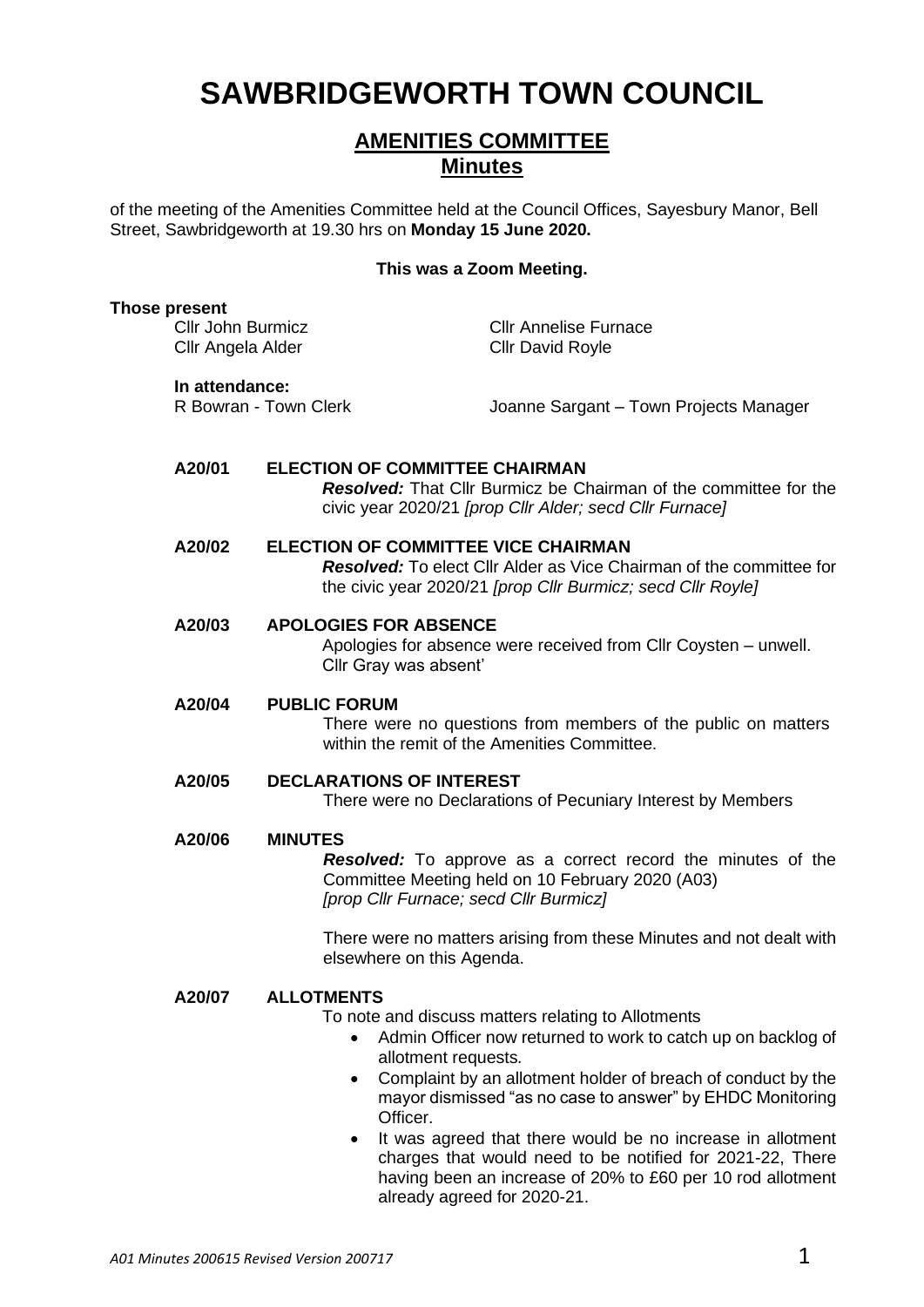# **SAWBRIDGEWORTH TOWN COUNCIL**

# **AMENITIES COMMITTEE Minutes**

of the meeting of the Amenities Committee held at the Council Offices, Sayesbury Manor, Bell Street, Sawbridgeworth at 19.30 hrs on **Monday 15 June 2020.**

#### **This was a Zoom Meeting.**

| <b>Those present</b>                          |                                                                                                                                                                                         |                                                                                                                                                                                                                                                                                                                                                                                                   |
|-----------------------------------------------|-----------------------------------------------------------------------------------------------------------------------------------------------------------------------------------------|---------------------------------------------------------------------------------------------------------------------------------------------------------------------------------------------------------------------------------------------------------------------------------------------------------------------------------------------------------------------------------------------------|
| <b>Cllr John Burmicz</b><br>Cllr Angela Alder |                                                                                                                                                                                         | <b>Cllr Annelise Furnace</b><br><b>Cllr David Royle</b>                                                                                                                                                                                                                                                                                                                                           |
| In attendance:<br>R Bowran - Town Clerk       |                                                                                                                                                                                         | Joanne Sargant - Town Projects Manager                                                                                                                                                                                                                                                                                                                                                            |
| A20/01                                        | <b>ELECTION OF COMMITTEE CHAIRMAN</b><br><b>Resolved:</b> That Cllr Burmicz be Chairman of the committee for the<br>civic year 2020/21 [prop Cllr Alder; secd Cllr Furnace]             |                                                                                                                                                                                                                                                                                                                                                                                                   |
| A20/02                                        | <b>ELECTION OF COMMITTEE VICE CHAIRMAN</b><br><b>Resolved:</b> To elect Cllr Alder as Vice Chairman of the committee for<br>the civic year 2020/21 [prop Cllr Burmicz; secd Cllr Royle] |                                                                                                                                                                                                                                                                                                                                                                                                   |
| A20/03                                        | <b>APOLOGIES FOR ABSENCE</b><br>Apologies for absence were received from Cllr Coysten - unwell.<br>Cllr Gray was absent'                                                                |                                                                                                                                                                                                                                                                                                                                                                                                   |
| A20/04                                        | <b>PUBLIC FORUM</b><br>There were no questions from members of the public on matters<br>within the remit of the Amenities Committee.                                                    |                                                                                                                                                                                                                                                                                                                                                                                                   |
| A20/05                                        | <b>DECLARATIONS OF INTEREST</b><br>There were no Declarations of Pecuniary Interest by Members                                                                                          |                                                                                                                                                                                                                                                                                                                                                                                                   |
| A20/06                                        | <b>MINUTES</b><br><b>Resolved:</b> To approve as a correct record the minutes of the<br>Committee Meeting held on 10 February 2020 (A03)<br>[prop Cllr Furnace; secd Cllr Burmicz]      |                                                                                                                                                                                                                                                                                                                                                                                                   |
|                                               | elsewhere on this Agenda.                                                                                                                                                               | There were no matters arising from these Minutes and not dealt with                                                                                                                                                                                                                                                                                                                               |
| A20/07                                        | <b>ALLOTMENTS</b><br>$\bullet$<br>Officer.<br>٠                                                                                                                                         | To note and discuss matters relating to Allotments<br>Admin Officer now returned to work to catch up on backlog of<br>allotment requests.<br>Complaint by an allotment holder of breach of conduct by the<br>mayor dismissed "as no case to answer" by EHDC Monitoring<br>It was agreed that there would be no increase in allotment<br>charges that would need to be notified for 2021-22, There |

already agreed for 2020-21.

having been an increase of 20% to £60 per 10 rod allotment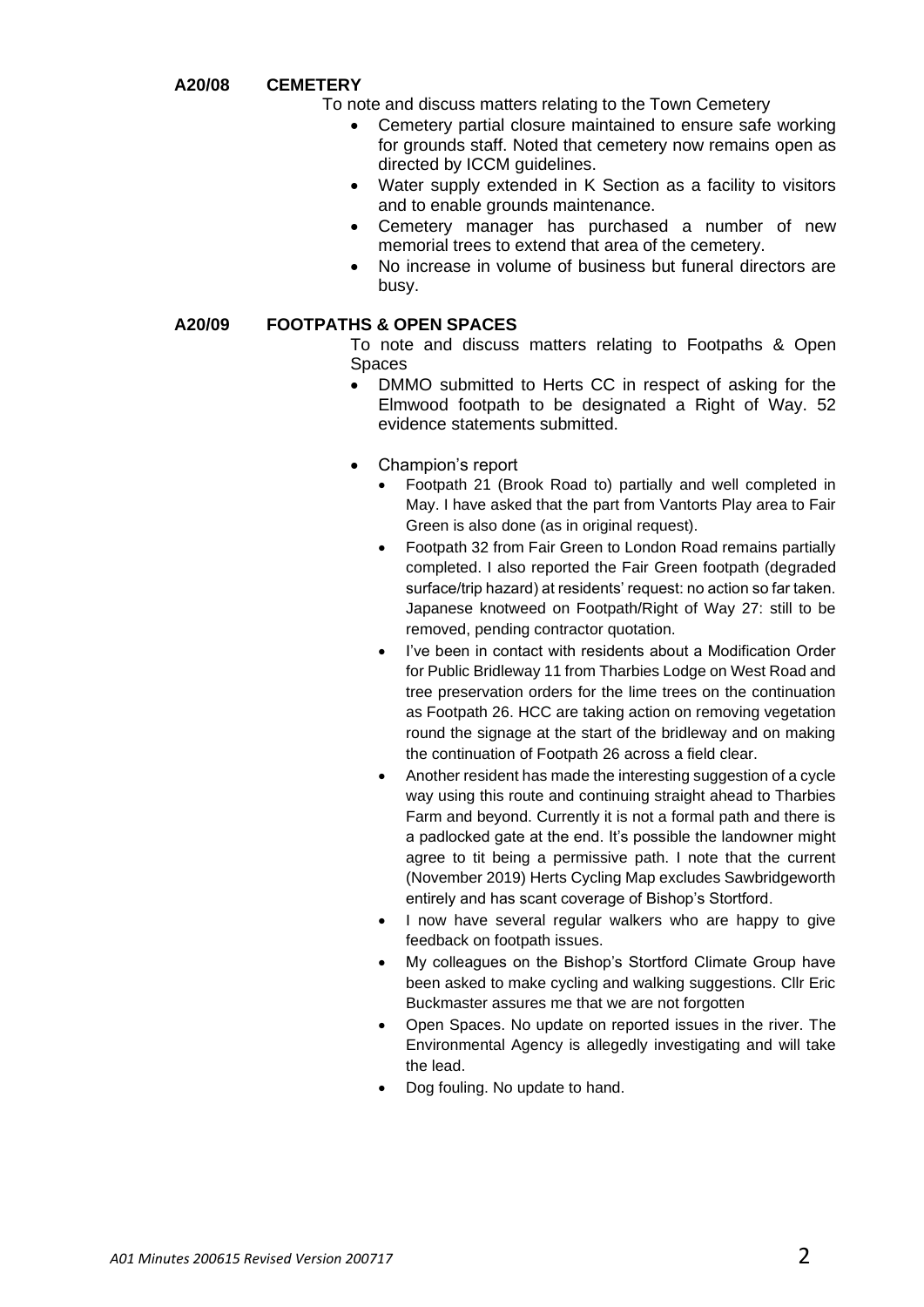**A20/08 CEMETERY**

To note and discuss matters relating to the Town Cemetery

- Cemetery partial closure maintained to ensure safe working for grounds staff. Noted that cemetery now remains open as directed by ICCM guidelines.
- Water supply extended in K Section as a facility to visitors and to enable grounds maintenance.
- Cemetery manager has purchased a number of new memorial trees to extend that area of the cemetery.
- No increase in volume of business but funeral directors are busy.

#### **A20/09 FOOTPATHS & OPEN SPACES**

- To note and discuss matters relating to Footpaths & Open Spaces
	- DMMO submitted to Herts CC in respect of asking for the Elmwood footpath to be designated a Right of Way. 52 evidence statements submitted.
	- Champion's report
		- Footpath 21 (Brook Road to) partially and well completed in May. I have asked that the part from Vantorts Play area to Fair Green is also done (as in original request).
		- Footpath 32 from Fair Green to London Road remains partially completed. I also reported the Fair Green footpath (degraded surface/trip hazard) at residents' request: no action so far taken. Japanese knotweed on Footpath/Right of Way 27: still to be removed, pending contractor quotation.
		- I've been in contact with residents about a Modification Order for Public Bridleway 11 from Tharbies Lodge on West Road and tree preservation orders for the lime trees on the continuation as Footpath 26. HCC are taking action on removing vegetation round the signage at the start of the bridleway and on making the continuation of Footpath 26 across a field clear.
		- Another resident has made the interesting suggestion of a cycle way using this route and continuing straight ahead to Tharbies Farm and beyond. Currently it is not a formal path and there is a padlocked gate at the end. It's possible the landowner might agree to tit being a permissive path. I note that the current (November 2019) Herts Cycling Map excludes Sawbridgeworth entirely and has scant coverage of Bishop's Stortford.
		- I now have several regular walkers who are happy to give feedback on footpath issues.
		- My colleagues on the Bishop's Stortford Climate Group have been asked to make cycling and walking suggestions. Cllr Eric Buckmaster assures me that we are not forgotten
		- Open Spaces. No update on reported issues in the river. The Environmental Agency is allegedly investigating and will take the lead.
		- Dog fouling. No update to hand.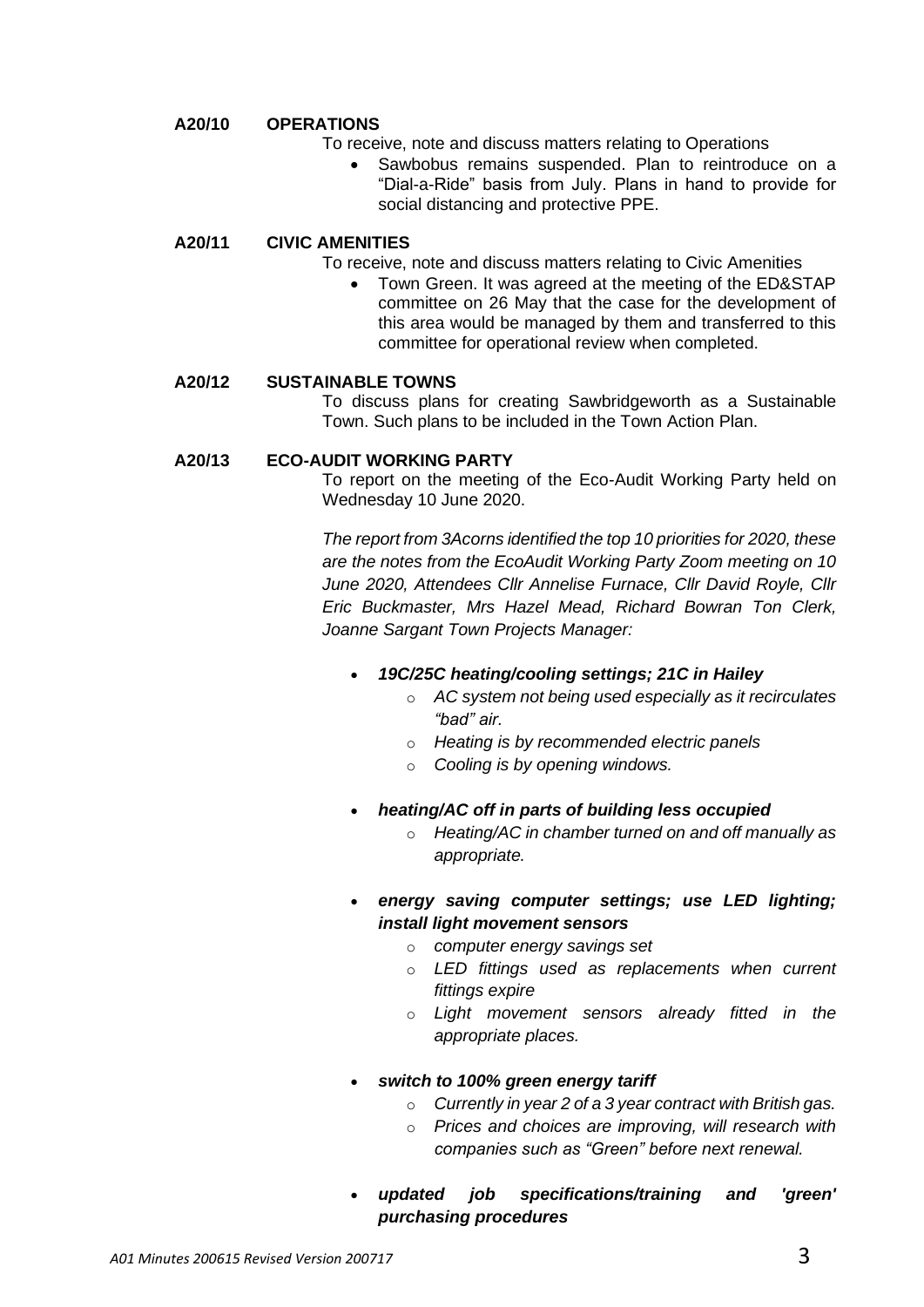## **A20/10 OPERATIONS**

- To receive, note and discuss matters relating to Operations
	- Sawbobus remains suspended. Plan to reintroduce on a "Dial-a-Ride" basis from July. Plans in hand to provide for social distancing and protective PPE.

#### **A20/11 CIVIC AMENITIES**

- To receive, note and discuss matters relating to Civic Amenities
	- Town Green. It was agreed at the meeting of the ED&STAP committee on 26 May that the case for the development of this area would be managed by them and transferred to this committee for operational review when completed.

#### **A20/12 SUSTAINABLE TOWNS**

To discuss plans for creating Sawbridgeworth as a Sustainable Town. Such plans to be included in the Town Action Plan.

#### **A20/13 ECO-AUDIT WORKING PARTY**

To report on the meeting of the Eco-Audit Working Party held on Wednesday 10 June 2020.

*The report from 3Acorns identified the top 10 priorities for 2020, these are the notes from the EcoAudit Working Party Zoom meeting on 10 June 2020, Attendees Cllr Annelise Furnace, Cllr David Royle, Cllr Eric Buckmaster, Mrs Hazel Mead, Richard Bowran Ton Clerk, Joanne Sargant Town Projects Manager:* 

## • *19C/25C heating/cooling settings; 21C in Hailey*

- o *AC system not being used especially as it recirculates "bad" air.*
- o *Heating is by recommended electric panels*
- o *Cooling is by opening windows.*
- *heating/AC off in parts of building less occupied*
	- o *Heating/AC in chamber turned on and off manually as appropriate.*
- *energy saving computer settings; use LED lighting; install light movement sensors*
	- o *computer energy savings set*
	- o *LED fittings used as replacements when current fittings expire*
	- o *Light movement sensors already fitted in the appropriate places.*
- *switch to 100% green energy tariff*
	- o *Currently in year 2 of a 3 year contract with British gas.*
	- o *Prices and choices are improving, will research with companies such as "Green" before next renewal.*
- *updated job specifications/training and 'green' purchasing procedures*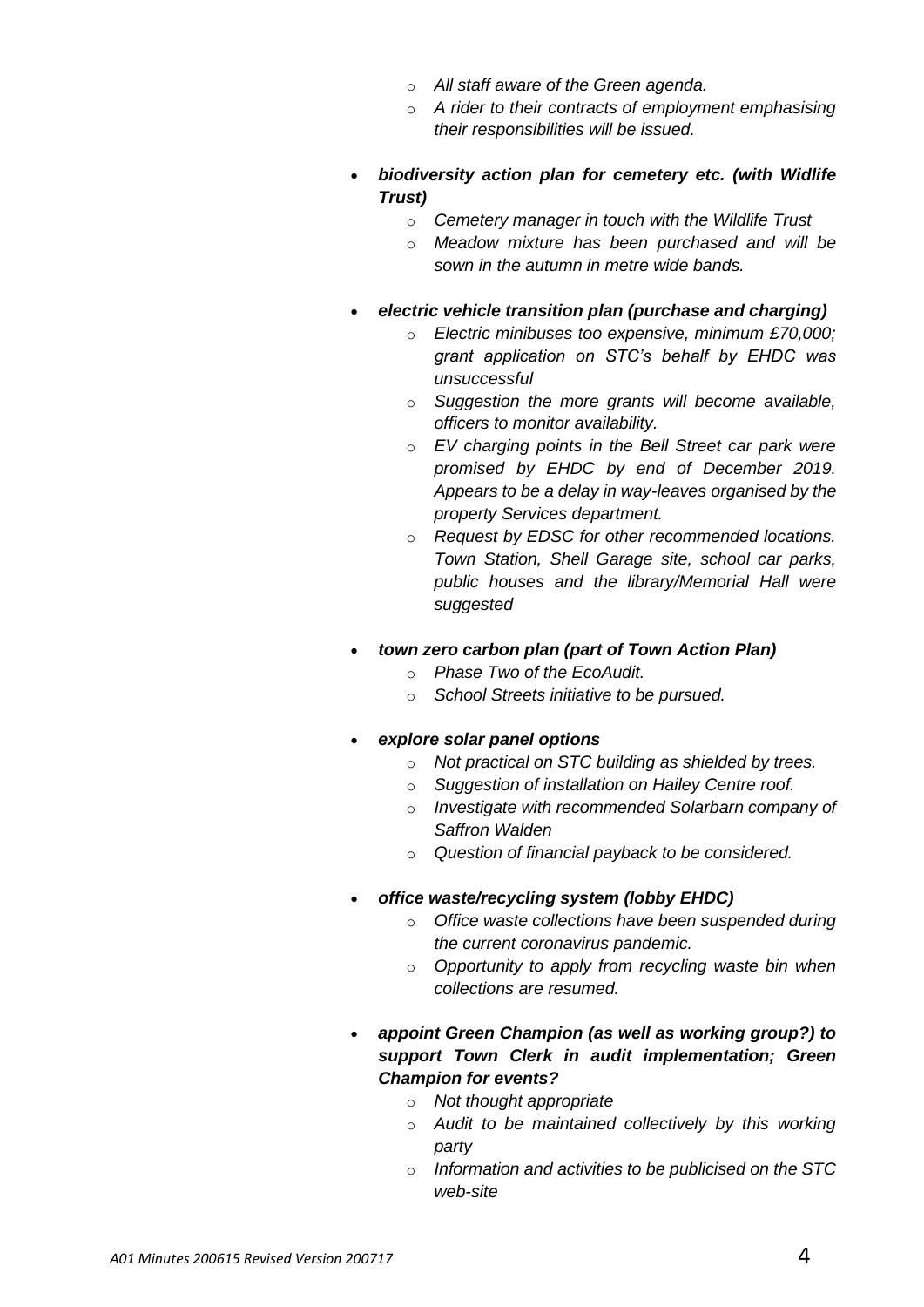- o *All staff aware of the Green agenda.*
- o *A rider to their contracts of employment emphasising their responsibilities will be issued.*
- *biodiversity action plan for cemetery etc. (with Widlife Trust)*
	- o *Cemetery manager in touch with the Wildlife Trust*
	- o *Meadow mixture has been purchased and will be sown in the autumn in metre wide bands.*
- *electric vehicle transition plan (purchase and charging)*
	- o *Electric minibuses too expensive, minimum £70,000; grant application on STC's behalf by EHDC was unsuccessful*
	- o *Suggestion the more grants will become available, officers to monitor availability.*
	- o *EV charging points in the Bell Street car park were promised by EHDC by end of December 2019. Appears to be a delay in way-leaves organised by the property Services department.*
	- o *Request by EDSC for other recommended locations. Town Station, Shell Garage site, school car parks, public houses and the library/Memorial Hall were suggested*
- *town zero carbon plan (part of Town Action Plan)*
	- o *Phase Two of the EcoAudit.*
	- o *School Streets initiative to be pursued.*
- *explore solar panel options*
	- o *Not practical on STC building as shielded by trees.*
	- o *Suggestion of installation on Hailey Centre roof.*
	- o *Investigate with recommended Solarbarn company of Saffron Walden*
	- o *Question of financial payback to be considered.*
- *office waste/recycling system (lobby EHDC)*
	- o *Office waste collections have been suspended during the current coronavirus pandemic.*
	- o *Opportunity to apply from recycling waste bin when collections are resumed.*
- *appoint Green Champion (as well as working group?) to support Town Clerk in audit implementation; Green Champion for events?*
	- o *Not thought appropriate*
	- o *Audit to be maintained collectively by this working party*
	- o *Information and activities to be publicised on the STC web-site*